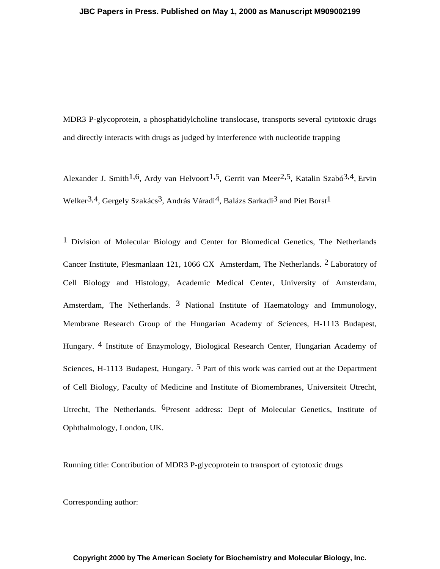MDR3 P-glycoprotein, a phosphatidylcholine translocase, transports several cytotoxic drugs and directly interacts with drugs as judged by interference with nucleotide trapping

Alexander J. Smith<sup>1,6</sup>, Ardy van Helvoort<sup>1,5</sup>, Gerrit van Meer<sup>2,5</sup>, Katalin Szabó<sup>3,4</sup>, Ervin Welker<sup>3,4</sup>, Gergely Szakács<sup>3</sup>, András Váradi<sup>4</sup>, Balázs Sarkadi<sup>3</sup> and Piet Borst<sup>1</sup>

1 Division of Molecular Biology and Center for Biomedical Genetics, The Netherlands Cancer Institute, Plesmanlaan 121, 1066 CX Amsterdam, The Netherlands. 2 Laboratory of Cell Biology and Histology, Academic Medical Center, University of Amsterdam, Amsterdam, The Netherlands.  $3$  National Institute of Haematology and Immunology, Membrane Research Group of the Hungarian Academy of Sciences, H-1113 Budapest, Hungary. 4 Institute of Enzymology, Biological Research Center, Hungarian Academy of Sciences, H-1113 Budapest, Hungary. 5 Part of this work was carried out at the Department of Cell Biology, Faculty of Medicine and Institute of Biomembranes, Universiteit Utrecht, Utrecht, The Netherlands. 6Present address: Dept of Molecular Genetics, Institute of Ophthalmology, London, UK.

Running title: Contribution of MDR3 P-glycoprotein to transport of cytotoxic drugs

Corresponding author: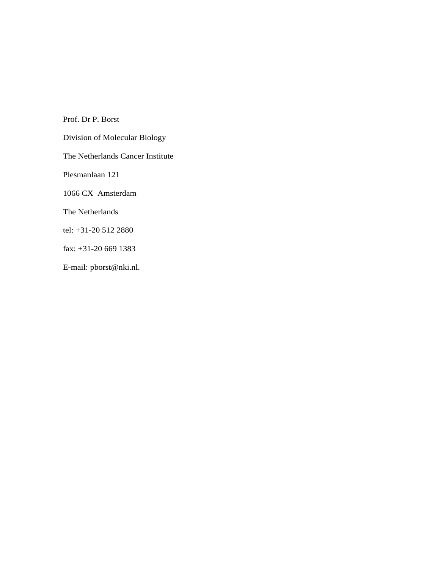Prof. Dr P. Borst Division of Molecular Biology The Netherlands Cancer Institute Plesmanlaan 121 1066 CX Amsterdam The Netherlands tel: +31-20 512 2880 fax: +31-20 669 1383 E-mail: pborst@nki.nl.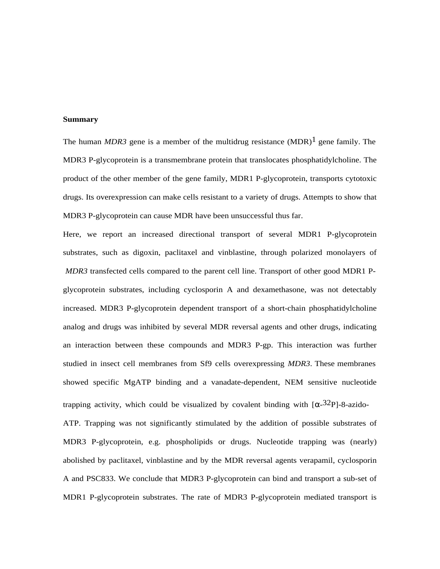### **Summary**

The human *MDR3* gene is a member of the multidrug resistance  $(MDR)^1$  gene family. The MDR3 P-glycoprotein is a transmembrane protein that translocates phosphatidylcholine. The product of the other member of the gene family, MDR1 P-glycoprotein, transports cytotoxic drugs. Its overexpression can make cells resistant to a variety of drugs. Attempts to show that MDR3 P-glycoprotein can cause MDR have been unsuccessful thus far.

Here, we report an increased directional transport of several MDR1 P-glycoprotein substrates, such as digoxin, paclitaxel and vinblastine, through polarized monolayers of *MDR3* transfected cells compared to the parent cell line. Transport of other good MDR1 Pglycoprotein substrates, including cyclosporin A and dexamethasone, was not detectably increased. MDR3 P-glycoprotein dependent transport of a short-chain phosphatidylcholine analog and drugs was inhibited by several MDR reversal agents and other drugs, indicating an interaction between these compounds and MDR3 P-gp. This interaction was further studied in insect cell membranes from Sf9 cells overexpressing *MDR3*. These membranes showed specific MgATP binding and a vanadate-dependent, NEM sensitive nucleotide trapping activity, which could be visualized by covalent binding with  $\left[\alpha^{-32}P\right]$ -8-azido-ATP. Trapping was not significantly stimulated by the addition of possible substrates of MDR3 P-glycoprotein, e.g. phospholipids or drugs. Nucleotide trapping was (nearly) abolished by paclitaxel, vinblastine and by the MDR reversal agents verapamil, cyclosporin A and PSC833. We conclude that MDR3 P-glycoprotein can bind and transport a sub-set of MDR1 P-glycoprotein substrates. The rate of MDR3 P-glycoprotein mediated transport is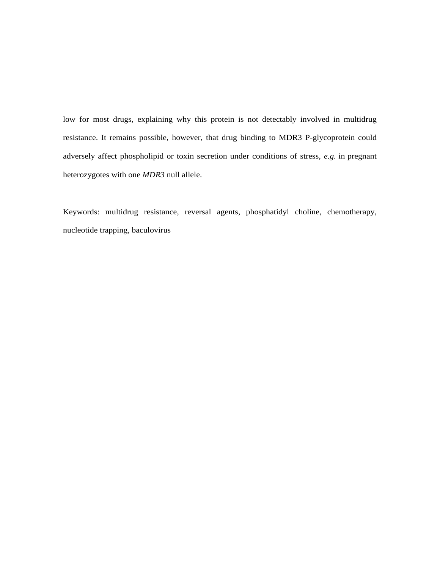low for most drugs, explaining why this protein is not detectably involved in multidrug resistance. It remains possible, however, that drug binding to MDR3 P-glycoprotein could adversely affect phospholipid or toxin secretion under conditions of stress, *e.g.* in pregnant heterozygotes with one *MDR3* null allele.

Keywords: multidrug resistance, reversal agents, phosphatidyl choline, chemotherapy, nucleotide trapping, baculovirus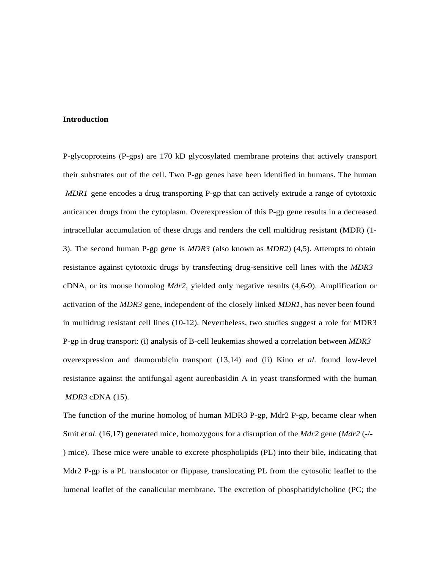### **Introduction**

P-glycoproteins (P-gps) are 170 kD glycosylated membrane proteins that actively transport their substrates out of the cell. Two P-gp genes have been identified in humans. The human *MDR1* gene encodes a drug transporting P-gp that can actively extrude a range of cytotoxic anticancer drugs from the cytoplasm. Overexpression of this P-gp gene results in a decreased intracellular accumulation of these drugs and renders the cell multidrug resistant (MDR) (1- 3). The second human P-gp gene is *MDR3* (also known as *MDR2*) (4,5)*.* Attempts to obtain resistance against cytotoxic drugs by transfecting drug-sensitive cell lines with the *MDR3* cDNA, or its mouse homolog *Mdr2*, yielded only negative results (4,6-9). Amplification or activation of the *MDR3* gene, independent of the closely linked *MDR1*, has never been found in multidrug resistant cell lines (10-12). Nevertheless, two studies suggest a role for MDR3 P-gp in drug transport: (i) analysis of B-cell leukemias showed a correlation between *MDR3* overexpression and daunorubicin transport (13,14) and (ii) Kino *et al*. found low-level resistance against the antifungal agent aureobasidin A in yeast transformed with the human *MDR3* cDNA (15).

The function of the murine homolog of human MDR3 P-gp, Mdr2 P-gp, became clear when Smit *et al*. (16,17) generated mice, homozygous for a disruption of the *Mdr2* gene (*Mdr2* (-/- ) mice). These mice were unable to excrete phospholipids (PL) into their bile, indicating that Mdr2 P-gp is a PL translocator or flippase, translocating PL from the cytosolic leaflet to the lumenal leaflet of the canalicular membrane. The excretion of phosphatidylcholine (PC; the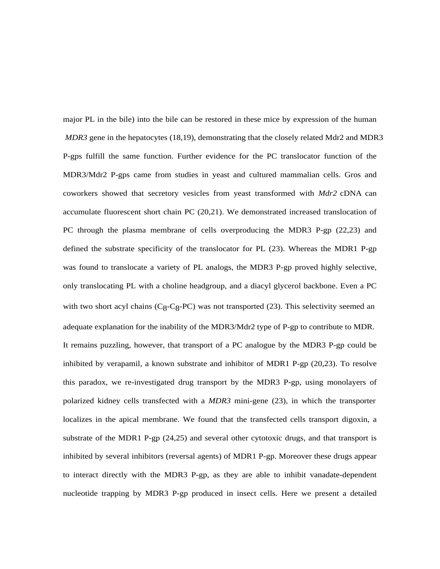major PL in the bile) into the bile can be restored in these mice by expression of the human *MDR3* gene in the hepatocytes (18,19), demonstrating that the closely related Mdr2 and MDR3 P-gps fulfill the same function. Further evidence for the PC translocator function of the MDR3/Mdr2 P-gps came from studies in yeast and cultured mammalian cells. Gros and coworkers showed that secretory vesicles from yeast transformed with *Mdr2* cDNA can accumulate fluorescent short chain PC (20,21). We demonstrated increased translocation of PC through the plasma membrane of cells overproducing the MDR3 P-gp (22,23) and defined the substrate specificity of the translocator for PL (23). Whereas the MDR1 P-gp was found to translocate a variety of PL analogs, the MDR3 P-gp proved highly selective, only translocating PL with a choline headgroup, and a diacyl glycerol backbone. Even a PC with two short acyl chains  $(C_8-C_8-PC)$  was not transported (23). This selectivity seemed an adequate explanation for the inability of the MDR3/Mdr2 type of P-gp to contribute to MDR. It remains puzzling, however, that transport of a PC analogue by the MDR3 P-gp could be inhibited by verapamil, a known substrate and inhibitor of MDR1 P-gp (20,23). To resolve this paradox, we re-investigated drug transport by the MDR3 P-gp, using monolayers of polarized kidney cells transfected with a *MDR3* mini-gene (23), in which the transporter localizes in the apical membrane. We found that the transfected cells transport digoxin, a substrate of the MDR1 P-gp (24,25) and several other cytotoxic drugs, and that transport is inhibited by several inhibitors (reversal agents) of MDR1 P-gp. Moreover these drugs appear to interact directly with the MDR3 P-gp, as they are able to inhibit vanadate-dependent nucleotide trapping by MDR3 P-gp produced in insect cells. Here we present a detailed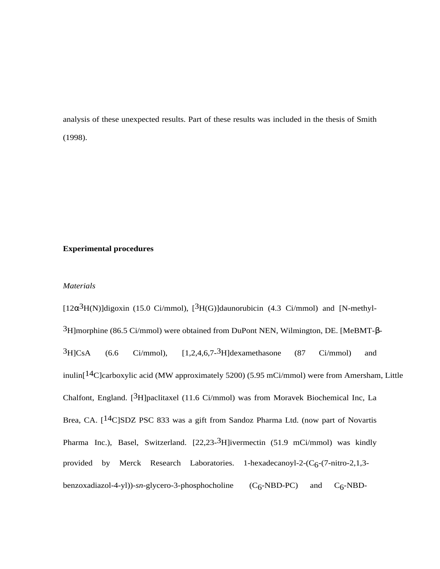analysis of these unexpected results. Part of these results was included in the thesis of Smith (1998).

# **Experimental procedures**

# *Materials*

[ $12\alpha^3$ H(N)]digoxin (15.0 Ci/mmol), [ $^3$ H(G)]daunorubicin (4.3 Ci/mmol) and [N-methyl- $3H$  morphine (86.5 Ci/mmol) were obtained from DuPont NEN, Wilmington, DE. [MeBMT-β- ${}^{3}H$ ]CsA (6.6 Ci/mmol), [1,2,4,6,7- ${}^{3}H$ ]dexamethasone (87 Ci/mmol) and inulin[14C]carboxylic acid (MW approximately 5200) (5.95 mCi/mmol) were from Amersham, Little Chalfont, England. [3H]paclitaxel (11.6 Ci/mmol) was from Moravek Biochemical Inc, La Brea, CA. [14C]SDZ PSC 833 was a gift from Sandoz Pharma Ltd. (now part of Novartis Pharma Inc.), Basel, Switzerland. [22,23-<sup>3</sup>H]ivermectin (51.9 mCi/mmol) was kindly provided by Merck Research Laboratories. 1-hexadecanoyl-2- $(C_6$ -(7-nitro-2,1,3benzoxadiazol-4-yl))-*sn*-glycero-3-phosphocholine (C<sub>6</sub>-NBD-PC) and C<sub>6</sub>-NBD-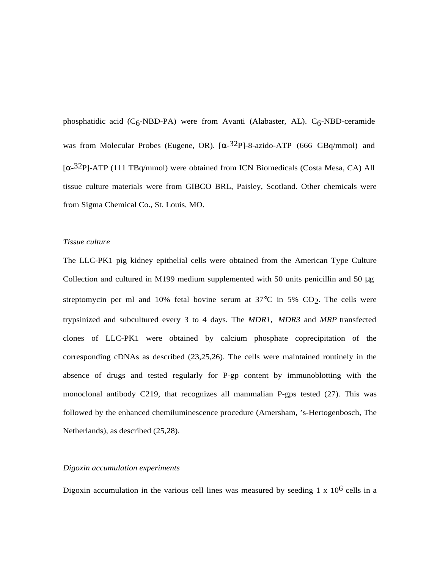phosphatidic acid  $(C_6$ -NBD-PA) were from Avanti (Alabaster, AL).  $C_6$ -NBD-ceramide was from Molecular Probes (Eugene, OR).  $[\alpha -32P]$ -8-azido-ATP (666 GBq/mmol) and  $\alpha$ <sup>32</sup>P]-ATP (111 TBq/mmol) were obtained from ICN Biomedicals (Costa Mesa, CA) All tissue culture materials were from GIBCO BRL, Paisley, Scotland. Other chemicals were from Sigma Chemical Co., St. Louis, MO.

### *Tissue culture*

The LLC-PK1 pig kidney epithelial cells were obtained from the American Type Culture Collection and cultured in M199 medium supplemented with 50 units penicillin and 50  $\mu$ g streptomycin per ml and 10% fetal bovine serum at  $37^{\circ}$ C in 5% CO<sub>2</sub>. The cells were trypsinized and subcultured every 3 to 4 days. The *MDR1, MDR3* and *MRP* transfected clones of LLC-PK1 were obtained by calcium phosphate coprecipitation of the corresponding cDNAs as described (23,25,26). The cells were maintained routinely in the absence of drugs and tested regularly for P-gp content by immunoblotting with the monoclonal antibody C219, that recognizes all mammalian P-gps tested (27). This was followed by the enhanced chemiluminescence procedure (Amersham, 's-Hertogenbosch, The Netherlands), as described (25,28).

## *Digoxin accumulation experiments*

Digoxin accumulation in the various cell lines was measured by seeding 1 x  $10^6$  cells in a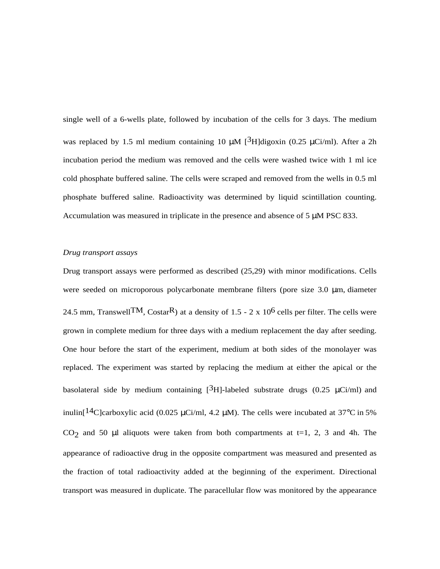single well of a 6-wells plate, followed by incubation of the cells for 3 days. The medium was replaced by 1.5 ml medium containing 10  $\mu$ M [<sup>3</sup>H]digoxin (0.25  $\mu$ Ci/ml). After a 2h incubation period the medium was removed and the cells were washed twice with 1 ml ice cold phosphate buffered saline. The cells were scraped and removed from the wells in 0.5 ml phosphate buffered saline. Radioactivity was determined by liquid scintillation counting. Accumulation was measured in triplicate in the presence and absence of 5 µM PSC 833.

# *Drug transport assays*

Drug transport assays were performed as described (25,29) with minor modifications. Cells were seeded on microporous polycarbonate membrane filters (pore size 3.0 µm, diameter 24.5 mm, Transwell TM, CostarR) at a density of 1.5 - 2 x 10<sup>6</sup> cells per filter. The cells were grown in complete medium for three days with a medium replacement the day after seeding. One hour before the start of the experiment, medium at both sides of the monolayer was replaced. The experiment was started by replacing the medium at either the apical or the basolateral side by medium containing  $[3H]$ -labeled substrate drugs (0.25  $\mu$ Ci/ml) and inulin<sup>[14</sup>C]carboxylic acid (0.025 µCi/ml, 4.2 µM). The cells were incubated at 37<sup>o</sup>C in 5% CO<sub>2</sub> and 50  $\mu$ l aliquots were taken from both compartments at t=1, 2, 3 and 4h. The appearance of radioactive drug in the opposite compartment was measured and presented as the fraction of total radioactivity added at the beginning of the experiment. Directional transport was measured in duplicate. The paracellular flow was monitored by the appearance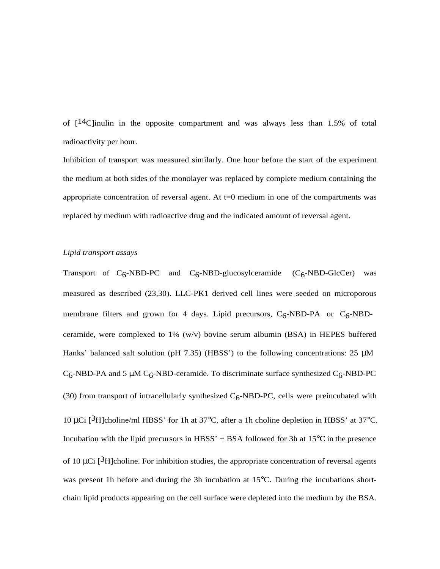of  $14$ C linulin in the opposite compartment and was always less than 1.5% of total radioactivity per hour.

Inhibition of transport was measured similarly. One hour before the start of the experiment the medium at both sides of the monolayer was replaced by complete medium containing the appropriate concentration of reversal agent. At  $t=0$  medium in one of the compartments was replaced by medium with radioactive drug and the indicated amount of reversal agent.

# *Lipid transport assays*

Transport of  $C_6$ -NBD-PC and  $C_6$ -NBD-glucosylceramide  $(C_6$ -NBD-GlcCer) was measured as described (23,30). LLC-PK1 derived cell lines were seeded on microporous membrane filters and grown for 4 days. Lipid precursors,  $C_6$ -NBD-PA or  $C_6$ -NBDceramide, were complexed to 1% (w/v) bovine serum albumin (BSA) in HEPES buffered Hanks' balanced salt solution (pH 7.35) (HBSS') to the following concentrations:  $25 \mu M$  $C_6$ -NBD-PA and 5  $\mu$ M C<sub>6</sub>-NBD-ceramide. To discriminate surface synthesized C<sub>6</sub>-NBD-PC (30) from transport of intracellularly synthesized  $C_6$ -NBD-PC, cells were preincubated with 10  $\mu$ Ci [<sup>3</sup>H]choline/ml HBSS' for 1h at 37°C, after a 1h choline depletion in HBSS' at 37°C. Incubation with the lipid precursors in HBSS' + BSA followed for 3h at  $15^{\circ}$ C in the presence of 10  $\mu$ Ci [<sup>3</sup>H]choline. For inhibition studies, the appropriate concentration of reversal agents was present 1h before and during the 3h incubation at 15°C. During the incubations shortchain lipid products appearing on the cell surface were depleted into the medium by the BSA.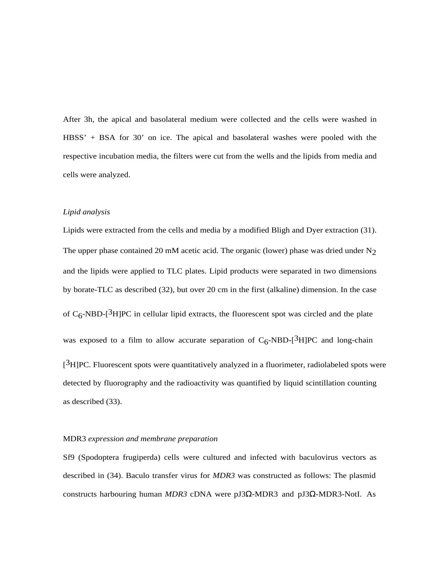After 3h, the apical and basolateral medium were collected and the cells were washed in HBSS' + BSA for 30' on ice. The apical and basolateral washes were pooled with the respective incubation media, the filters were cut from the wells and the lipids from media and cells were analyzed.

#### *Lipid analysis*

Lipids were extracted from the cells and media by a modified Bligh and Dyer extraction (31). The upper phase contained 20 mM acetic acid. The organic (lower) phase was dried under  $N_2$ and the lipids were applied to TLC plates. Lipid products were separated in two dimensions by borate-TLC as described (32), but over 20 cm in the first (alkaline) dimension. In the case of  $C_6$ -NBD-[<sup>3</sup>H]PC in cellular lipid extracts, the fluorescent spot was circled and the plate was exposed to a film to allow accurate separation of  $C_6$ -NBD-[<sup>3</sup>H]PC and long-chain  $[3H]PC$ . Fluorescent spots were quantitatively analyzed in a fluorimeter, radiolabeled spots were detected by fluorography and the radioactivity was quantified by liquid scintillation counting as described (33).

### MDR3 *expression and membrane preparation*

Sf9 (Spodoptera frugiperda) cells were cultured and infected with baculovirus vectors as described in (34). Baculo transfer virus for *MDR3* was constructed as follows: The plasmid constructs harbouring human *MDR3* cDNA were pJ3Ω-MDR3 and pJ3Ω-MDR3-NotI. As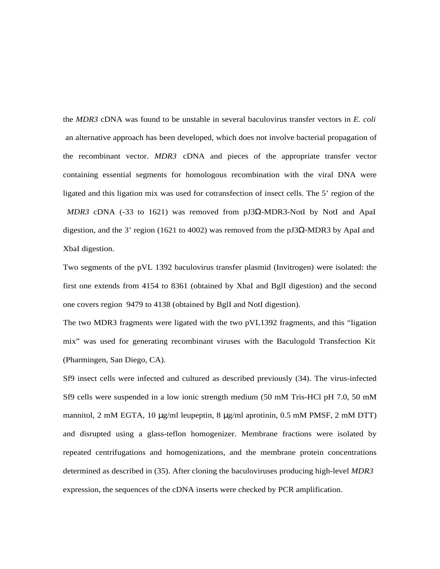the *MDR3* cDNA was found to be unstable in several baculovirus transfer vectors in *E. coli* an alternative approach has been developed, which does not involve bacterial propagation of the recombinant vector. *MDR3* cDNA and pieces of the appropriate transfer vector containing essential segments for homologous recombination with the viral DNA were ligated and this ligation mix was used for cotransfection of insect cells. The 5' region of the *MDR3* cDNA (-33 to 1621) was removed from  $pJ3\Omega$ -MDR3-NotI by NotI and ApaI digestion, and the 3' region (1621 to 4002) was removed from the pJ3Ω-MDR3 by ApaI and XbaI digestion.

Two segments of the pVL 1392 baculovirus transfer plasmid (Invitrogen) were isolated: the first one extends from 4154 to 8361 (obtained by XbaI and BglI digestion) and the second one covers region 9479 to 4138 (obtained by BglI and NotI digestion).

The two MDR3 fragments were ligated with the two pVL1392 fragments, and this "ligation mix" was used for generating recombinant viruses with the Baculogold Transfection Kit (Pharmingen, San Diego, CA).

Sf9 insect cells were infected and cultured as described previously (34). The virus-infected Sf9 cells were suspended in a low ionic strength medium (50 mM Tris-HCl pH 7.0, 50 mM mannitol, 2 mM EGTA, 10  $\mu$ g/ml leupeptin, 8  $\mu$ g/ml aprotinin, 0.5 mM PMSF, 2 mM DTT) and disrupted using a glass-teflon homogenizer. Membrane fractions were isolated by repeated centrifugations and homogenizations, and the membrane protein concentrations determined as described in (35). After cloning the baculoviruses producing high-level *MDR3* expression, the sequences of the cDNA inserts were checked by PCR amplification.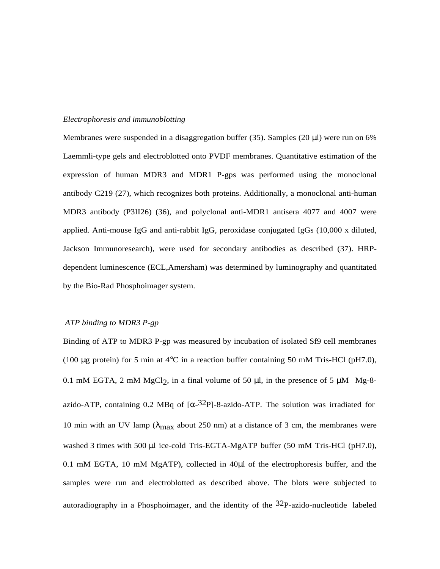### *Electrophoresis and immunoblotting*

Membranes were suspended in a disaggregation buffer (35). Samples (20  $\mu$ l) were run on 6% Laemmli-type gels and electroblotted onto PVDF membranes. Quantitative estimation of the expression of human MDR3 and MDR1 P-gps was performed using the monoclonal antibody C219 (27), which recognizes both proteins. Additionally, a monoclonal anti-human MDR3 antibody (P3II26) (36), and polyclonal anti-MDR1 antisera 4077 and 4007 were applied. Anti-mouse IgG and anti-rabbit IgG, peroxidase conjugated IgGs (10,000 x diluted, Jackson Immunoresearch), were used for secondary antibodies as described (37). HRPdependent luminescence (ECL,Amersham) was determined by luminography and quantitated by the Bio-Rad Phosphoimager system.

## *ATP binding to MDR3 P-gp*

Binding of ATP to MDR3 P-gp was measured by incubation of isolated Sf9 cell membranes (100  $\mu$ g protein) for 5 min at 4<sup>o</sup>C in a reaction buffer containing 50 mM Tris-HCl (pH7.0), 0.1 mM EGTA, 2 mM MgCl<sub>2</sub>, in a final volume of 50  $\mu$ l, in the presence of 5  $\mu$ M Mg-8azido-ATP, containing 0.2 MBq of  $\left[\alpha^{-32}P\right]$ -8-azido-ATP. The solution was irradiated for 10 min with an UV lamp ( $\lambda_{\text{max}}$  about 250 nm) at a distance of 3 cm, the membranes were washed 3 times with 500 µl ice-cold Tris-EGTA-MgATP buffer (50 mM Tris-HCl (pH7.0), 0.1 mM EGTA, 10 mM MgATP), collected in 40µl of the electrophoresis buffer, and the samples were run and electroblotted as described above. The blots were subjected to autoradiography in a Phosphoimager, and the identity of the  $32P$ -azido-nucleotide labeled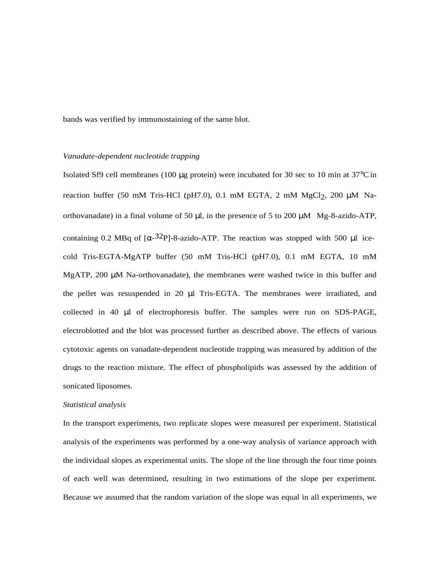bands was verified by immunostaining of the same blot.

## *Vanadate-dependent nucleotide trapping*

Isolated Sf9 cell membranes (100  $\mu$ g protein) were incubated for 30 sec to 10 min at 37 $\degree$ C in reaction buffer (50 mM Tris-HCl (pH7.0), 0.1 mM EGTA, 2 mM MgCl<sub>2</sub>, 200 µM Naorthovanadate) in a final volume of 50  $\mu$ l, in the presence of 5 to 200  $\mu$ M Mg-8-azido-ATP, containing 0.2 MBq of  $\left[\alpha^{-32}P\right]$ -8-azido-ATP. The reaction was stopped with 500 µl icecold Tris-EGTA-MgATP buffer (50 mM Tris-HCl (pH7.0), 0.1 mM EGTA, 10 mM MgATP, 200  $\mu$ M Na-orthovanadate), the membranes were washed twice in this buffer and the pellet was resuspended in 20 µl Tris-EGTA. The membranes were irradiated, and collected in 40 µl of electrophoresis buffer. The samples were run on SDS-PAGE, electroblotted and the blot was processed further as described above. The effects of various cytotoxic agents on vanadate-dependent nucleotide trapping was measured by addition of the drugs to the reaction mixture. The effect of phospholipids was assessed by the addition of sonicated liposomes.

#### *Statistical analysis*

In the transport experiments, two replicate slopes were measured per experiment. Statistical analysis of the experiments was performed by a one-way analysis of variance approach with the individual slopes as experimental units. The slope of the line through the four time points of each well was determined, resulting in two estimations of the slope per experiment. Because we assumed that the random variation of the slope was equal in all experiments, we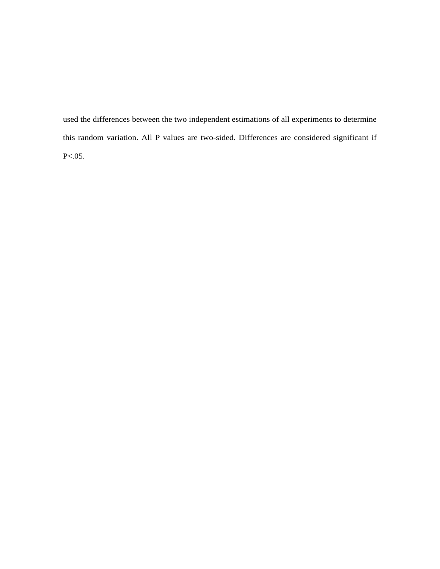used the differences between the two independent estimations of all experiments to determine this random variation. All P values are two-sided. Differences are considered significant if P<.05.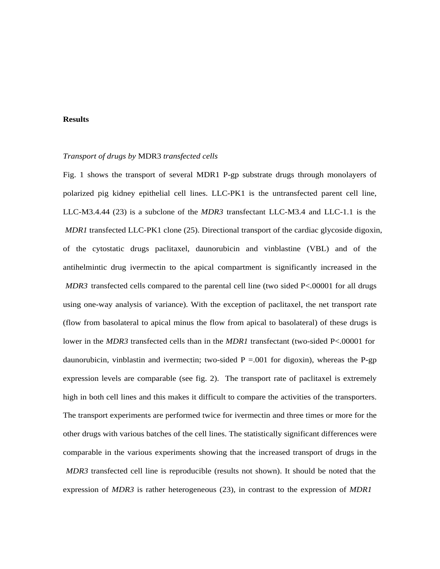## **Results**

### *Transport of drugs by* MDR3 *transfected cells*

Fig. 1 shows the transport of several MDR1 P-gp substrate drugs through monolayers of polarized pig kidney epithelial cell lines. LLC-PK1 is the untransfected parent cell line, LLC-M3.4.44 (23) is a subclone of the *MDR3* transfectant LLC-M3.4 and LLC-1.1 is the *MDR1* transfected LLC-PK1 clone (25). Directional transport of the cardiac glycoside digoxin, of the cytostatic drugs paclitaxel, daunorubicin and vinblastine (VBL) and of the antihelmintic drug ivermectin to the apical compartment is significantly increased in the *MDR3* transfected cells compared to the parental cell line (two sided P<.00001 for all drugs using one-way analysis of variance). With the exception of paclitaxel, the net transport rate (flow from basolateral to apical minus the flow from apical to basolateral) of these drugs is lower in the *MDR3* transfected cells than in the *MDR1* transfectant (two-sided P<.00001 for daunorubicin, vinblastin and ivermectin; two-sided  $P = 0.001$  for digoxin), whereas the P-gp expression levels are comparable (see fig. 2). The transport rate of paclitaxel is extremely high in both cell lines and this makes it difficult to compare the activities of the transporters. The transport experiments are performed twice for ivermectin and three times or more for the other drugs with various batches of the cell lines. The statistically significant differences were comparable in the various experiments showing that the increased transport of drugs in the *MDR3* transfected cell line is reproducible (results not shown). It should be noted that the expression of *MDR3* is rather heterogeneous (23), in contrast to the expression of *MDR1*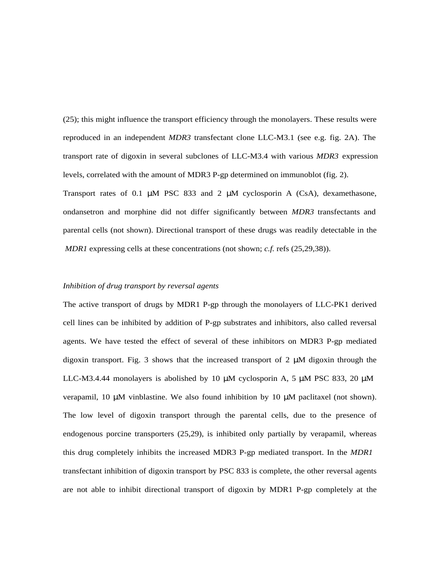(25); this might influence the transport efficiency through the monolayers. These results were reproduced in an independent *MDR3* transfectant clone LLC-M3.1 (see e.g. fig. 2A). The transport rate of digoxin in several subclones of LLC-M3.4 with various *MDR3* expression levels, correlated with the amount of MDR3 P-gp determined on immunoblot (fig. 2). Transport rates of 0.1  $\mu$ M PSC 833 and 2  $\mu$ M cyclosporin A (CsA), dexamethasone, ondansetron and morphine did not differ significantly between *MDR3* transfectants and parental cells (not shown). Directional transport of these drugs was readily detectable in the *MDR1* expressing cells at these concentrations (not shown; *c.f.* refs (25,29,38)).

## *Inhibition of drug transport by reversal agents*

The active transport of drugs by MDR1 P-gp through the monolayers of LLC-PK1 derived cell lines can be inhibited by addition of P-gp substrates and inhibitors, also called reversal agents. We have tested the effect of several of these inhibitors on MDR3 P-gp mediated digoxin transport. Fig. 3 shows that the increased transport of  $2 \mu M$  digoxin through the LLC-M3.4.44 monolayers is abolished by 10  $\mu$ M cyclosporin A, 5  $\mu$ M PSC 833, 20  $\mu$ M verapamil, 10  $\mu$ M vinblastine. We also found inhibition by 10  $\mu$ M paclitaxel (not shown). The low level of digoxin transport through the parental cells, due to the presence of endogenous porcine transporters (25,29), is inhibited only partially by verapamil, whereas this drug completely inhibits the increased MDR3 P-gp mediated transport. In the *MDR1* transfectant inhibition of digoxin transport by PSC 833 is complete, the other reversal agents are not able to inhibit directional transport of digoxin by MDR1 P-gp completely at the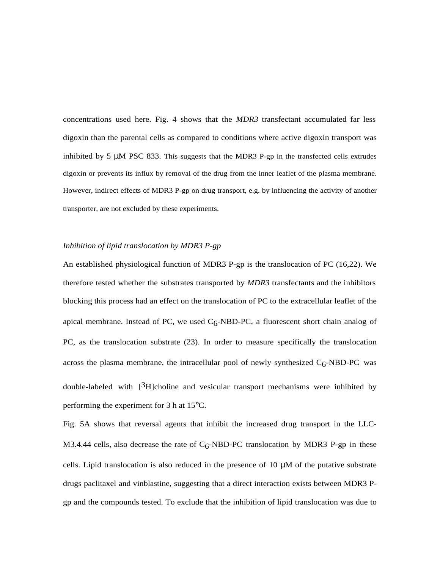concentrations used here. Fig. 4 shows that the *MDR3* transfectant accumulated far less digoxin than the parental cells as compared to conditions where active digoxin transport was inhibited by 5  $\mu$ M PSC 833. This suggests that the MDR3 P-gp in the transfected cells extrudes digoxin or prevents its influx by removal of the drug from the inner leaflet of the plasma membrane. However, indirect effects of MDR3 P-gp on drug transport, e.g. by influencing the activity of another transporter, are not excluded by these experiments.

# *Inhibition of lipid translocation by MDR3 P-gp*

An established physiological function of MDR3 P-gp is the translocation of PC (16,22). We therefore tested whether the substrates transported by *MDR3* transfectants and the inhibitors blocking this process had an effect on the translocation of PC to the extracellular leaflet of the apical membrane. Instead of PC, we used  $C_6$ -NBD-PC, a fluorescent short chain analog of PC, as the translocation substrate (23). In order to measure specifically the translocation across the plasma membrane, the intracellular pool of newly synthesized  $C_6$ -NBD-PC was double-labeled with [3H]choline and vesicular transport mechanisms were inhibited by performing the experiment for 3 h at 15°C.

Fig. 5A shows that reversal agents that inhibit the increased drug transport in the LLC-M3.4.44 cells, also decrease the rate of  $C_6$ -NBD-PC translocation by MDR3 P-gp in these cells. Lipid translocation is also reduced in the presence of  $10 \mu M$  of the putative substrate drugs paclitaxel and vinblastine, suggesting that a direct interaction exists between MDR3 Pgp and the compounds tested. To exclude that the inhibition of lipid translocation was due to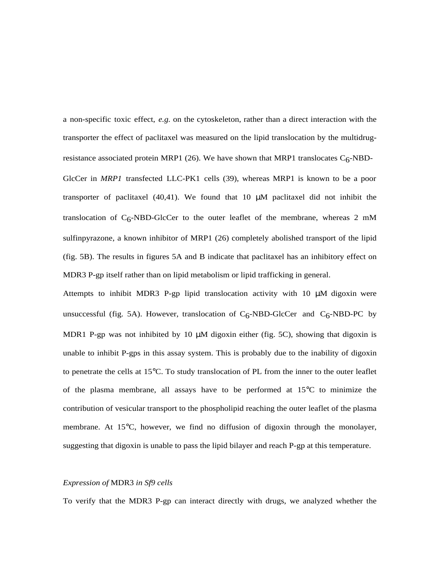a non-specific toxic effect, *e.g.* on the cytoskeleton, rather than a direct interaction with the transporter the effect of paclitaxel was measured on the lipid translocation by the multidrugresistance associated protein MRP1 (26). We have shown that MRP1 translocates  $C_6$ -NBD-GlcCer in *MRP1* transfected LLC-PK1 cells (39), whereas MRP1 is known to be a poor transporter of paclitaxel  $(40,41)$ . We found that 10  $\mu$ M paclitaxel did not inhibit the translocation of  $C_6$ -NBD-GlcCer to the outer leaflet of the membrane, whereas 2 mM sulfinpyrazone, a known inhibitor of MRP1 (26) completely abolished transport of the lipid (fig. 5B). The results in figures 5A and B indicate that paclitaxel has an inhibitory effect on MDR3 P-gp itself rather than on lipid metabolism or lipid trafficking in general.

Attempts to inhibit MDR3 P-gp lipid translocation activity with  $10 \mu M$  digoxin were unsuccessful (fig. 5A). However, translocation of  $C_6$ -NBD-GlcCer and  $C_6$ -NBD-PC by MDR1 P-gp was not inhibited by 10  $\mu$ M digoxin either (fig. 5C), showing that digoxin is unable to inhibit P-gps in this assay system. This is probably due to the inability of digoxin to penetrate the cells at 15°C. To study translocation of PL from the inner to the outer leaflet of the plasma membrane, all assays have to be performed at 15°C to minimize the contribution of vesicular transport to the phospholipid reaching the outer leaflet of the plasma membrane. At 15°C, however, we find no diffusion of digoxin through the monolayer, suggesting that digoxin is unable to pass the lipid bilayer and reach P-gp at this temperature.

# *Expression of* MDR3 *in Sf9 cells*

To verify that the MDR3 P-gp can interact directly with drugs, we analyzed whether the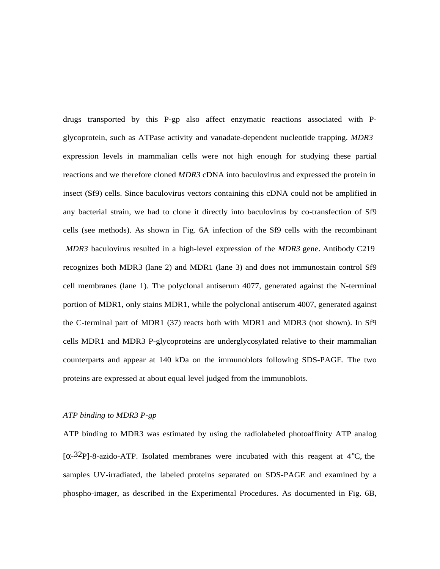drugs transported by this P-gp also affect enzymatic reactions associated with Pglycoprotein, such as ATPase activity and vanadate-dependent nucleotide trapping. *MDR3* expression levels in mammalian cells were not high enough for studying these partial reactions and we therefore cloned *MDR3* cDNA into baculovirus and expressed the protein in insect (Sf9) cells. Since baculovirus vectors containing this cDNA could not be amplified in any bacterial strain, we had to clone it directly into baculovirus by co-transfection of Sf9 cells (see methods). As shown in Fig. 6A infection of the Sf9 cells with the recombinant *MDR3* baculovirus resulted in a high-level expression of the *MDR3* gene. Antibody C219 recognizes both MDR3 (lane 2) and MDR1 (lane 3) and does not immunostain control Sf9 cell membranes (lane 1). The polyclonal antiserum 4077, generated against the N-terminal portion of MDR1, only stains MDR1, while the polyclonal antiserum 4007, generated against the C-terminal part of MDR1 (37) reacts both with MDR1 and MDR3 (not shown). In Sf9 cells MDR1 and MDR3 P-glycoproteins are underglycosylated relative to their mammalian counterparts and appear at 140 kDa on the immunoblots following SDS-PAGE. The two proteins are expressed at about equal level judged from the immunoblots.

### *ATP binding to MDR3 P-gp*

ATP binding to MDR3 was estimated by using the radiolabeled photoaffinity ATP analog  $[\alpha^{-32}P]$ -8-azido-ATP. Isolated membranes were incubated with this reagent at 4<sup>o</sup>C, the samples UV-irradiated, the labeled proteins separated on SDS-PAGE and examined by a phospho-imager, as described in the Experimental Procedures. As documented in Fig. 6B,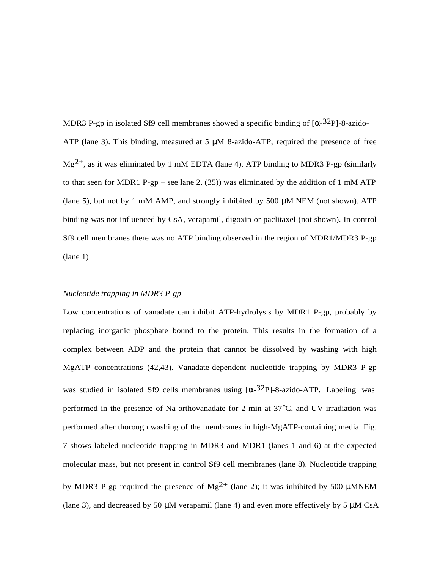MDR3 P-gp in isolated Sf9 cell membranes showed a specific binding of  $\alpha$ -32P]-8-azido-ATP (lane 3). This binding, measured at 5  $\mu$ M 8-azido-ATP, required the presence of free  $Mg^{2+}$ , as it was eliminated by 1 mM EDTA (lane 4). ATP binding to MDR3 P-gp (similarly to that seen for MDR1 P-gp – see lane 2, (35)) was eliminated by the addition of 1 mM ATP (lane 5), but not by 1 mM AMP, and strongly inhibited by 500  $\mu$ M NEM (not shown). ATP binding was not influenced by CsA, verapamil, digoxin or paclitaxel (not shown). In control Sf9 cell membranes there was no ATP binding observed in the region of MDR1/MDR3 P-gp (lane 1)

# *Nucleotide trapping in MDR3 P-gp*

Low concentrations of vanadate can inhibit ATP-hydrolysis by MDR1 P-gp, probably by replacing inorganic phosphate bound to the protein. This results in the formation of a complex between ADP and the protein that cannot be dissolved by washing with high MgATP concentrations (42,43). Vanadate-dependent nucleotide trapping by MDR3 P-gp was studied in isolated Sf9 cells membranes using  $\lceil \alpha - 3^2 \text{P} \rceil$ -8-azido-ATP. Labeling was performed in the presence of Na-orthovanadate for 2 min at 37°C, and UV-irradiation was performed after thorough washing of the membranes in high-MgATP-containing media. Fig. 7 shows labeled nucleotide trapping in MDR3 and MDR1 (lanes 1 and 6) at the expected molecular mass, but not present in control Sf9 cell membranes (lane 8). Nucleotide trapping by MDR3 P-gp required the presence of Mg<sup>2+</sup> (lane 2); it was inhibited by 500 µMNEM (lane 3), and decreased by 50  $\mu$ M verapamil (lane 4) and even more effectively by 5  $\mu$ M CsA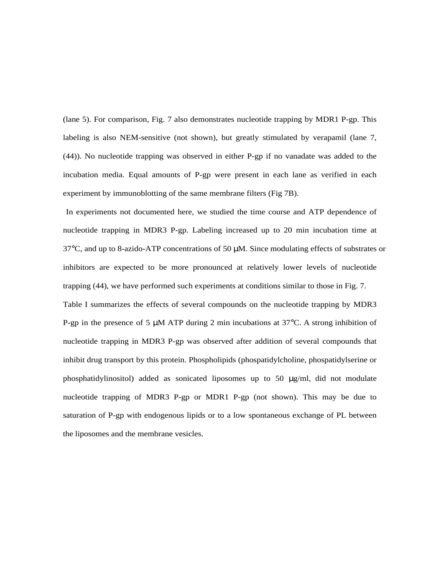(lane 5). For comparison, Fig. 7 also demonstrates nucleotide trapping by MDR1 P-gp. This labeling is also NEM-sensitive (not shown), but greatly stimulated by verapamil (lane 7, (44)). No nucleotide trapping was observed in either P-gp if no vanadate was added to the incubation media. Equal amounts of P-gp were present in each lane as verified in each experiment by immunoblotting of the same membrane filters (Fig 7B).

 In experiments not documented here, we studied the time course and ATP dependence of nucleotide trapping in MDR3 P-gp. Labeling increased up to 20 min incubation time at  $37^{\circ}$ C, and up to 8-azido-ATP concentrations of 50  $\mu$ M. Since modulating effects of substrates or inhibitors are expected to be more pronounced at relatively lower levels of nucleotide trapping (44), we have performed such experiments at conditions similar to those in Fig. 7. Table I summarizes the effects of several compounds on the nucleotide trapping by MDR3 P-gp in the presence of 5 µM ATP during 2 min incubations at 37°C. A strong inhibition of nucleotide trapping in MDR3 P-gp was observed after addition of several compounds that inhibit drug transport by this protein. Phospholipids (phospatidylcholine, phospatidylserine or phosphatidylinositol) added as sonicated liposomes up to 50 µg/ml, did not modulate nucleotide trapping of MDR3 P-gp or MDR1 P-gp (not shown). This may be due to saturation of P-gp with endogenous lipids or to a low spontaneous exchange of PL between the liposomes and the membrane vesicles.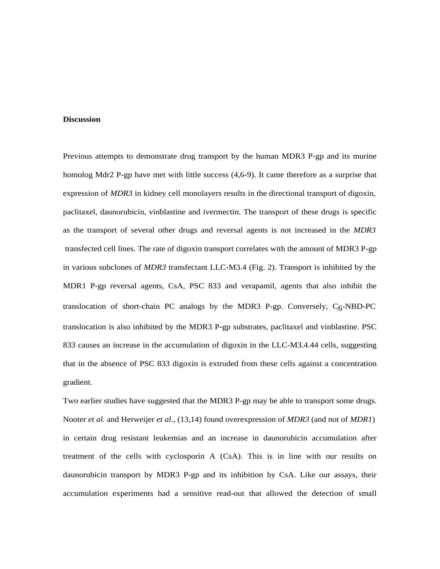#### **Discussion**

Previous attempts to demonstrate drug transport by the human MDR3 P-gp and its murine homolog Mdr2 P-gp have met with little success (4,6-9). It came therefore as a surprise that expression of *MDR3* in kidney cell monolayers results in the directional transport of digoxin, paclitaxel, daunorubicin, vinblastine and ivermectin. The transport of these drugs is specific as the transport of several other drugs and reversal agents is not increased in the *MDR3* transfected cell lines. The rate of digoxin transport correlates with the amount of MDR3 P-gp in various subclones of *MDR3* transfectant LLC-M3.4 (Fig. 2). Transport is inhibited by the MDR1 P-gp reversal agents, CsA, PSC 833 and verapamil, agents that also inhibit the translocation of short-chain PC analogs by the MDR3 P-gp. Conversely,  $C_6$ -NBD-PC translocation is also inhibited by the MDR3 P-gp substrates, paclitaxel and vinblastine. PSC 833 causes an increase in the accumulation of digoxin in the LLC-M3.4.44 cells, suggesting that in the absence of PSC 833 digoxin is extruded from these cells against a concentration gradient.

Two earlier studies have suggested that the MDR3 P-gp may be able to transport some drugs. Nooter *et al.* and Herweijer *et al.*, (13,14) found overexpression of *MDR3* (and not of *MDR1*) in certain drug resistant leukemias and an increase in daunorubicin accumulation after treatment of the cells with cyclosporin A (CsA). This is in line with our results on daunorubicin transport by MDR3 P-gp and its inhibition by CsA. Like our assays, their accumulation experiments had a sensitive read-out that allowed the detection of small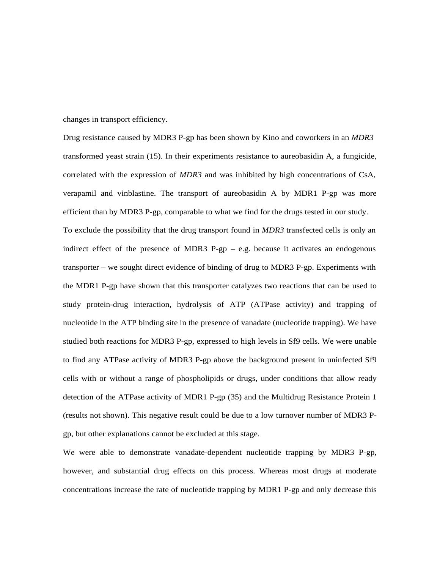changes in transport efficiency.

Drug resistance caused by MDR3 P-gp has been shown by Kino and coworkers in an *MDR3* transformed yeast strain (15). In their experiments resistance to aureobasidin A, a fungicide, correlated with the expression of *MDR3* and was inhibited by high concentrations of CsA, verapamil and vinblastine. The transport of aureobasidin A by MDR1 P-gp was more efficient than by MDR3 P-gp, comparable to what we find for the drugs tested in our study. To exclude the possibility that the drug transport found in *MDR3* transfected cells is only an indirect effect of the presence of MDR3 P-gp  $-$  e.g. because it activates an endogenous transporter – we sought direct evidence of binding of drug to MDR3 P-gp. Experiments with the MDR1 P-gp have shown that this transporter catalyzes two reactions that can be used to study protein-drug interaction, hydrolysis of ATP (ATPase activity) and trapping of nucleotide in the ATP binding site in the presence of vanadate (nucleotide trapping). We have studied both reactions for MDR3 P-gp, expressed to high levels in Sf9 cells. We were unable to find any ATPase activity of MDR3 P-gp above the background present in uninfected Sf9 cells with or without a range of phospholipids or drugs, under conditions that allow ready detection of the ATPase activity of MDR1 P-gp (35) and the Multidrug Resistance Protein 1 (results not shown). This negative result could be due to a low turnover number of MDR3 Pgp, but other explanations cannot be excluded at this stage.

We were able to demonstrate vanadate-dependent nucleotide trapping by MDR3 P-gp, however, and substantial drug effects on this process. Whereas most drugs at moderate concentrations increase the rate of nucleotide trapping by MDR1 P-gp and only decrease this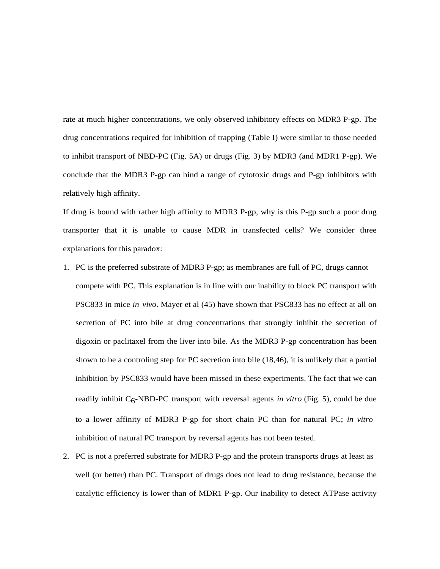rate at much higher concentrations, we only observed inhibitory effects on MDR3 P-gp. The drug concentrations required for inhibition of trapping (Table I) were similar to those needed to inhibit transport of NBD-PC (Fig. 5A) or drugs (Fig. 3) by MDR3 (and MDR1 P-gp). We conclude that the MDR3 P-gp can bind a range of cytotoxic drugs and P-gp inhibitors with relatively high affinity.

If drug is bound with rather high affinity to MDR3 P-gp, why is this P-gp such a poor drug transporter that it is unable to cause MDR in transfected cells? We consider three explanations for this paradox:

- 1. PC is the preferred substrate of MDR3 P-gp; as membranes are full of PC, drugs cannot compete with PC. This explanation is in line with our inability to block PC transport with PSC833 in mice *in vivo*. Mayer et al (45) have shown that PSC833 has no effect at all on secretion of PC into bile at drug concentrations that strongly inhibit the secretion of digoxin or paclitaxel from the liver into bile. As the MDR3 P-gp concentration has been shown to be a controling step for PC secretion into bile (18,46), it is unlikely that a partial inhibition by PSC833 would have been missed in these experiments. The fact that we can readily inhibit  $C_6$ -NBD-PC transport with reversal agents *in vitro* (Fig. 5), could be due to a lower affinity of MDR3 P-gp for short chain PC than for natural PC; *in vitro* inhibition of natural PC transport by reversal agents has not been tested.
- 2. PC is not a preferred substrate for MDR3 P-gp and the protein transports drugs at least as well (or better) than PC. Transport of drugs does not lead to drug resistance, because the catalytic efficiency is lower than of MDR1 P-gp. Our inability to detect ATPase activity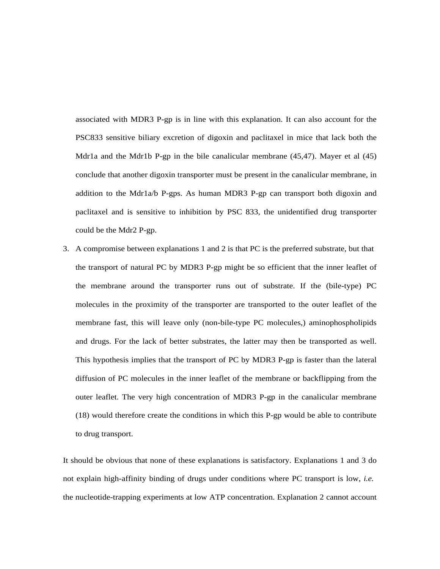associated with MDR3 P-gp is in line with this explanation. It can also account for the PSC833 sensitive biliary excretion of digoxin and paclitaxel in mice that lack both the Mdr1a and the Mdr1b P-gp in the bile canalicular membrane (45,47). Mayer et al (45) conclude that another digoxin transporter must be present in the canalicular membrane, in addition to the Mdr1a/b P-gps. As human MDR3 P-gp can transport both digoxin and paclitaxel and is sensitive to inhibition by PSC 833, the unidentified drug transporter could be the Mdr2 P-gp.

3. A compromise between explanations 1 and 2 is that PC is the preferred substrate, but that the transport of natural PC by MDR3 P-gp might be so efficient that the inner leaflet of the membrane around the transporter runs out of substrate. If the (bile-type) PC molecules in the proximity of the transporter are transported to the outer leaflet of the membrane fast, this will leave only (non-bile-type PC molecules,) aminophospholipids and drugs. For the lack of better substrates, the latter may then be transported as well. This hypothesis implies that the transport of PC by MDR3 P-gp is faster than the lateral diffusion of PC molecules in the inner leaflet of the membrane or backflipping from the outer leaflet. The very high concentration of MDR3 P-gp in the canalicular membrane (18) would therefore create the conditions in which this P-gp would be able to contribute to drug transport.

It should be obvious that none of these explanations is satisfactory. Explanations 1 and 3 do not explain high-affinity binding of drugs under conditions where PC transport is low, *i.e.* the nucleotide-trapping experiments at low ATP concentration. Explanation 2 cannot account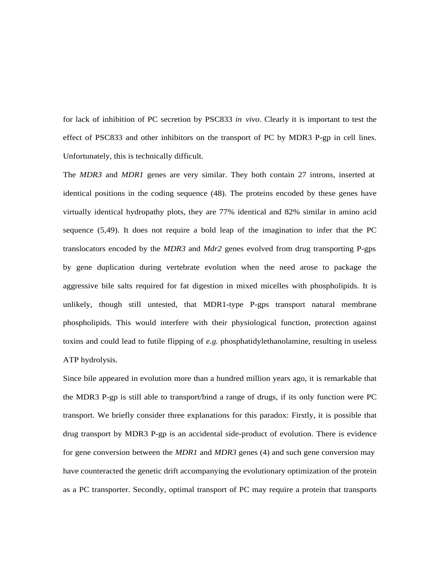for lack of inhibition of PC secretion by PSC833 *in vivo*. Clearly it is important to test the effect of PSC833 and other inhibitors on the transport of PC by MDR3 P-gp in cell lines. Unfortunately, this is technically difficult.

The *MDR3* and *MDR1* genes are very similar. They both contain 27 introns, inserted at identical positions in the coding sequence (48). The proteins encoded by these genes have virtually identical hydropathy plots, they are 77% identical and 82% similar in amino acid sequence (5,49). It does not require a bold leap of the imagination to infer that the PC translocators encoded by the *MDR3* and *Mdr2* genes evolved from drug transporting P-gps by gene duplication during vertebrate evolution when the need arose to package the aggressive bile salts required for fat digestion in mixed micelles with phospholipids. It is unlikely, though still untested, that MDR1-type P-gps transport natural membrane phospholipids. This would interfere with their physiological function, protection against toxins and could lead to futile flipping of *e.g.* phosphatidylethanolamine, resulting in useless ATP hydrolysis.

Since bile appeared in evolution more than a hundred million years ago, it is remarkable that the MDR3 P-gp is still able to transport/bind a range of drugs, if its only function were PC transport. We briefly consider three explanations for this paradox: Firstly, it is possible that drug transport by MDR3 P-gp is an accidental side-product of evolution. There is evidence for gene conversion between the *MDR1* and *MDR3* genes (4) and such gene conversion may have counteracted the genetic drift accompanying the evolutionary optimization of the protein as a PC transporter. Secondly, optimal transport of PC may require a protein that transports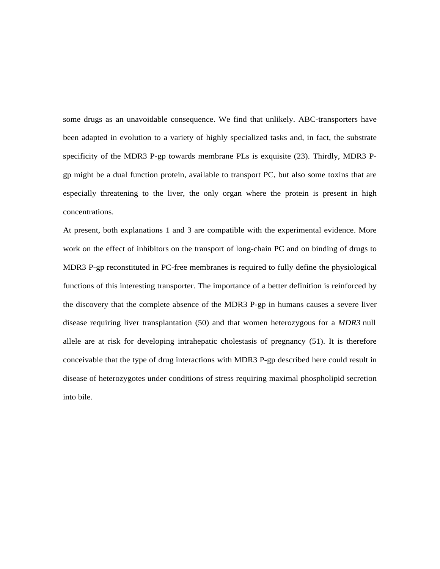some drugs as an unavoidable consequence. We find that unlikely. ABC-transporters have been adapted in evolution to a variety of highly specialized tasks and, in fact, the substrate specificity of the MDR3 P-gp towards membrane PLs is exquisite (23). Thirdly, MDR3 Pgp might be a dual function protein, available to transport PC, but also some toxins that are especially threatening to the liver, the only organ where the protein is present in high concentrations.

At present, both explanations 1 and 3 are compatible with the experimental evidence. More work on the effect of inhibitors on the transport of long-chain PC and on binding of drugs to MDR3 P-gp reconstituted in PC-free membranes is required to fully define the physiological functions of this interesting transporter. The importance of a better definition is reinforced by the discovery that the complete absence of the MDR3 P-gp in humans causes a severe liver disease requiring liver transplantation (50) and that women heterozygous for a *MDR3* null allele are at risk for developing intrahepatic cholestasis of pregnancy (51). It is therefore conceivable that the type of drug interactions with MDR3 P-gp described here could result in disease of heterozygotes under conditions of stress requiring maximal phospholipid secretion into bile.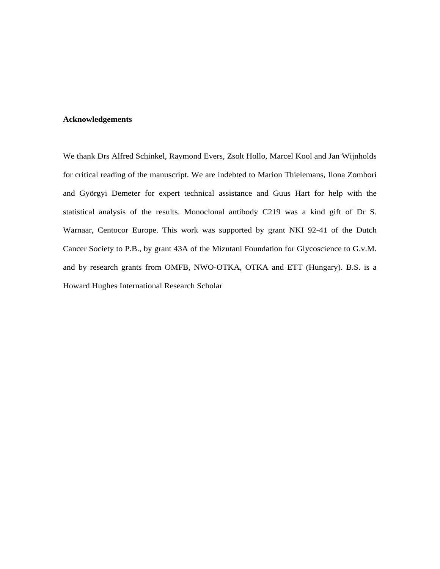## **Acknowledgements**

We thank Drs Alfred Schinkel, Raymond Evers, Zsolt Hollo, Marcel Kool and Jan Wijnholds for critical reading of the manuscript. We are indebted to Marion Thielemans, Ilona Zombori and Györgyi Demeter for expert technical assistance and Guus Hart for help with the statistical analysis of the results. Monoclonal antibody C219 was a kind gift of Dr S. Warnaar, Centocor Europe. This work was supported by grant NKI 92-41 of the Dutch Cancer Society to P.B., by grant 43A of the Mizutani Foundation for Glycoscience to G.v.M. and by research grants from OMFB, NWO-OTKA, OTKA and ETT (Hungary). B.S. is a Howard Hughes International Research Scholar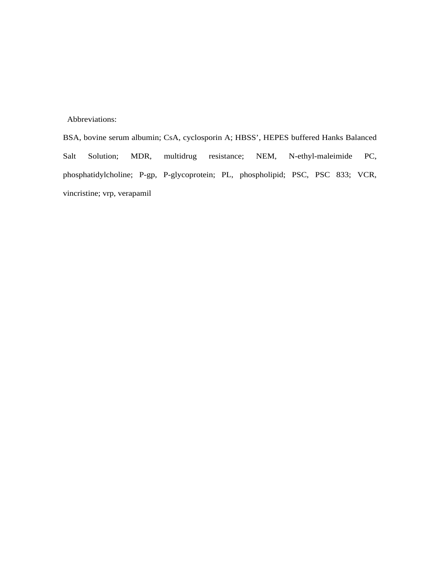Abbreviations:

BSA, bovine serum albumin; CsA, cyclosporin A; HBSS', HEPES buffered Hanks Balanced Salt Solution; MDR, multidrug resistance; NEM, N-ethyl-maleimide PC, phosphatidylcholine; P-gp, P-glycoprotein; PL, phospholipid; PSC, PSC 833; VCR, vincristine; vrp, verapamil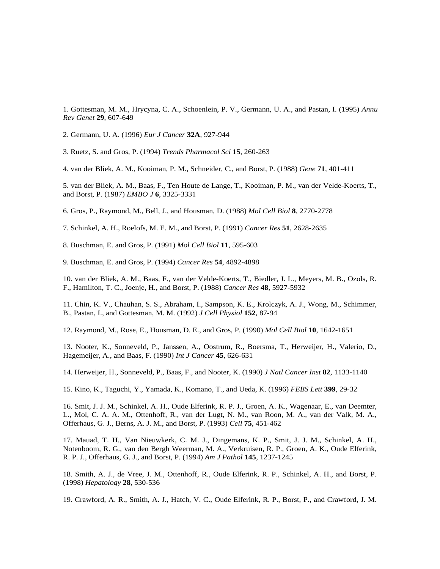1. Gottesman, M. M., Hrycyna, C. A., Schoenlein, P. V., Germann, U. A., and Pastan, I. (1995) *Annu Rev Genet* **29**, 607-649

2. Germann, U. A. (1996) *Eur J Cancer* **32A**, 927-944

3. Ruetz, S. and Gros, P. (1994) *Trends Pharmacol Sci* **15**, 260-263

4. van der Bliek, A. M., Kooiman, P. M., Schneider, C., and Borst, P. (1988) *Gene* **71**, 401-411

5. van der Bliek, A. M., Baas, F., Ten Houte de Lange, T., Kooiman, P. M., van der Velde-Koerts, T., and Borst, P. (1987) *EMBO J* **6**, 3325-3331

6. Gros, P., Raymond, M., Bell, J., and Housman, D. (1988) *Mol Cell Biol* **8**, 2770-2778

7. Schinkel, A. H., Roelofs, M. E. M., and Borst, P. (1991) *Cancer Res* **51**, 2628-2635

8. Buschman, E. and Gros, P. (1991) *Mol Cell Biol* **11**, 595-603

9. Buschman, E. and Gros, P. (1994) *Cancer Res* **54**, 4892-4898

10. van der Bliek, A. M., Baas, F., van der Velde-Koerts, T., Biedler, J. L., Meyers, M. B., Ozols, R. F., Hamilton, T. C., Joenje, H., and Borst, P. (1988) *Cancer Res* **48**, 5927-5932

11. Chin, K. V., Chauhan, S. S., Abraham, I., Sampson, K. E., Krolczyk, A. J., Wong, M., Schimmer, B., Pastan, I., and Gottesman, M. M. (1992) *J Cell Physiol* **152**, 87-94

12. Raymond, M., Rose, E., Housman, D. E., and Gros, P. (1990) *Mol Cell Biol* **10**, 1642-1651

13. Nooter, K., Sonneveld, P., Janssen, A., Oostrum, R., Boersma, T., Herweijer, H., Valerio, D., Hagemeijer, A., and Baas, F. (1990) *Int J Cancer* **45**, 626-631

14. Herweijer, H., Sonneveld, P., Baas, F., and Nooter, K. (1990) *J Natl Cancer Inst* **82**, 1133-1140

15. Kino, K., Taguchi, Y., Yamada, K., Komano, T., and Ueda, K. (1996) *FEBS Lett* **399**, 29-32

16. Smit, J. J. M., Schinkel, A. H., Oude Elferink, R. P. J., Groen, A. K., Wagenaar, E., van Deemter, L., Mol, C. A. A. M., Ottenhoff, R., van der Lugt, N. M., van Roon, M. A., van der Valk, M. A., Offerhaus, G. J., Berns, A. J. M., and Borst, P. (1993) *Cell* **75**, 451-462

17. Mauad, T. H., Van Nieuwkerk, C. M. J., Dingemans, K. P., Smit, J. J. M., Schinkel, A. H., Notenboom, R. G., van den Bergh Weerman, M. A., Verkruisen, R. P., Groen, A. K., Oude Elferink, R. P. J., Offerhaus, G. J., and Borst, P. (1994) *Am J Pathol* **145**, 1237-1245

18. Smith, A. J., de Vree, J. M., Ottenhoff, R., Oude Elferink, R. P., Schinkel, A. H., and Borst, P. (1998) *Hepatology* **28**, 530-536

19. Crawford, A. R., Smith, A. J., Hatch, V. C., Oude Elferink, R. P., Borst, P., and Crawford, J. M.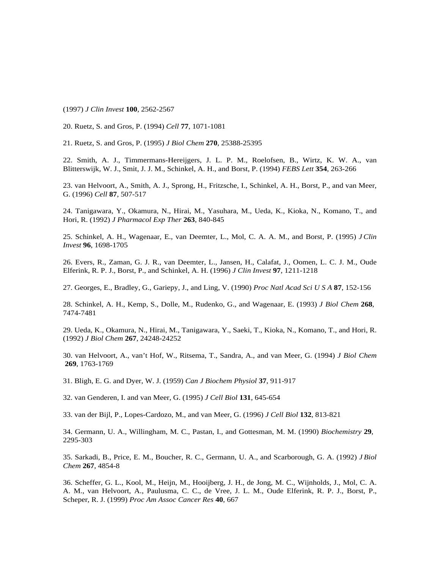(1997) *J Clin Invest* **100**, 2562-2567

20. Ruetz, S. and Gros, P. (1994) *Cell* **77**, 1071-1081

21. Ruetz, S. and Gros, P. (1995) *J Biol Chem* **270**, 25388-25395

22. Smith, A. J., Timmermans-Hereijgers, J. L. P. M., Roelofsen, B., Wirtz, K. W. A., van Blitterswijk, W. J., Smit, J. J. M., Schinkel, A. H., and Borst, P. (1994) *FEBS Lett* **354**, 263-266

23. van Helvoort, A., Smith, A. J., Sprong, H., Fritzsche, I., Schinkel, A. H., Borst, P., and van Meer, G. (1996) *Cell* **87**, 507-517

24. Tanigawara, Y., Okamura, N., Hirai, M., Yasuhara, M., Ueda, K., Kioka, N., Komano, T., and Hori, R. (1992) *J Pharmacol Exp Ther* **263**, 840-845

25. Schinkel, A. H., Wagenaar, E., van Deemter, L., Mol, C. A. A. M., and Borst, P. (1995) *J Clin Invest* **96**, 1698-1705

26. Evers, R., Zaman, G. J. R., van Deemter, L., Jansen, H., Calafat, J., Oomen, L. C. J. M., Oude Elferink, R. P. J., Borst, P., and Schinkel, A. H. (1996) *J Clin Invest* **97**, 1211-1218

27. Georges, E., Bradley, G., Gariepy, J., and Ling, V. (1990) *Proc Natl Acad Sci U S A* **87**, 152-156

28. Schinkel, A. H., Kemp, S., Dolle, M., Rudenko, G., and Wagenaar, E. (1993) *J Biol Chem* **268**, 7474-7481

29. Ueda, K., Okamura, N., Hirai, M., Tanigawara, Y., Saeki, T., Kioka, N., Komano, T., and Hori, R. (1992) *J Biol Chem* **267**, 24248-24252

30. van Helvoort, A., van't Hof, W., Ritsema, T., Sandra, A., and van Meer, G. (1994) *J Biol Chem* **269**, 1763-1769

31. Bligh, E. G. and Dyer, W. J. (1959) *Can J Biochem Physiol* **37**, 911-917

32. van Genderen, I. and van Meer, G. (1995) *J Cell Biol* **131**, 645-654

33. van der Bijl, P., Lopes-Cardozo, M., and van Meer, G. (1996) *J Cell Biol* **132**, 813-821

34. Germann, U. A., Willingham, M. C., Pastan, I., and Gottesman, M. M. (1990) *Biochemistry* **29**, 2295-303

35. Sarkadi, B., Price, E. M., Boucher, R. C., Germann, U. A., and Scarborough, G. A. (1992) *J Biol Chem* **267**, 4854-8

36. Scheffer, G. L., Kool, M., Heijn, M., Hooijberg, J. H., de Jong, M. C., Wijnholds, J., Mol, C. A. A. M., van Helvoort, A., Paulusma, C. C., de Vree, J. L. M., Oude Elferink, R. P. J., Borst, P., Scheper, R. J. (1999) *Proc Am Assoc Cancer Res* **40**, 667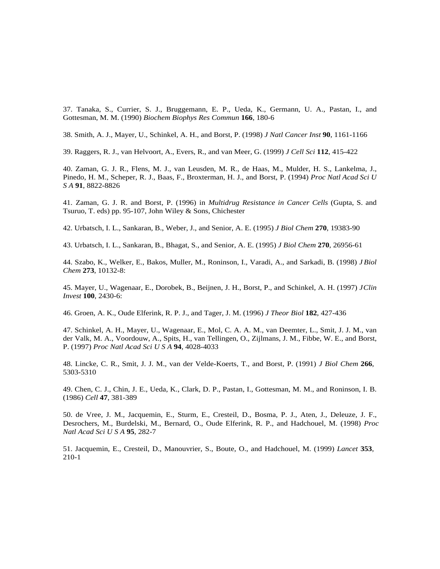37. Tanaka, S., Currier, S. J., Bruggemann, E. P., Ueda, K., Germann, U. A., Pastan, I., and Gottesman, M. M. (1990) *Biochem Biophys Res Commun* **166**, 180-6

38. Smith, A. J., Mayer, U., Schinkel, A. H., and Borst, P. (1998) *J Natl Cancer Inst* **90**, 1161-1166

39. Raggers, R. J., van Helvoort, A., Evers, R., and van Meer, G. (1999) *J Cell Sci* **112**, 415-422

40. Zaman, G. J. R., Flens, M. J., van Leusden, M. R., de Haas, M., Mulder, H. S., Lankelma, J., Pinedo, H. M., Scheper, R. J., Baas, F., Broxterman, H. J., and Borst, P. (1994) *Proc Natl Acad Sci U S A* **91**, 8822-8826

41. Zaman, G. J. R. and Borst, P. (1996) in *Multidrug Resistance in Cancer Cells* (Gupta, S. and Tsuruo, T. eds) pp. 95-107, John Wiley & Sons, Chichester

42. Urbatsch, I. L., Sankaran, B., Weber, J., and Senior, A. E. (1995) *J Biol Chem* **270**, 19383-90

43. Urbatsch, I. L., Sankaran, B., Bhagat, S., and Senior, A. E. (1995) *J Biol Chem* **270**, 26956-61

44. Szabo, K., Welker, E., Bakos, Muller, M., Roninson, I., Varadi, A., and Sarkadi, B. (1998) *J Biol Chem* **273**, 10132-8:

45. Mayer, U., Wagenaar, E., Dorobek, B., Beijnen, J. H., Borst, P., and Schinkel, A. H. (1997) *J Clin Invest* **100**, 2430-6:

46. Groen, A. K., Oude Elferink, R. P. J., and Tager, J. M. (1996) *J Theor Biol* **182**, 427-436

47. Schinkel, A. H., Mayer, U., Wagenaar, E., Mol, C. A. A. M., van Deemter, L., Smit, J. J. M., van der Valk, M. A., Voordouw, A., Spits, H., van Tellingen, O., Zijlmans, J. M., Fibbe, W. E., and Borst, P. (1997) *Proc Natl Acad Sci U S A* **94**, 4028-4033

48. Lincke, C. R., Smit, J. J. M., van der Velde-Koerts, T., and Borst, P. (1991) *J Biol Chem* **266**, 5303-5310

49. Chen, C. J., Chin, J. E., Ueda, K., Clark, D. P., Pastan, I., Gottesman, M. M., and Roninson, I. B. (1986) *Cell* **47**, 381-389

50. de Vree, J. M., Jacquemin, E., Sturm, E., Cresteil, D., Bosma, P. J., Aten, J., Deleuze, J. F., Desrochers, M., Burdelski, M., Bernard, O., Oude Elferink, R. P., and Hadchouel, M. (1998) *Proc Natl Acad Sci U S A* **95**, 282-7

51. Jacquemin, E., Cresteil, D., Manouvrier, S., Boute, O., and Hadchouel, M. (1999) *Lancet* **353**, 210-1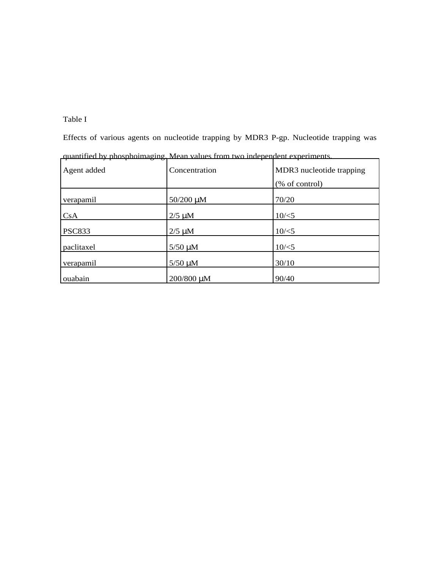# Table I

Effects of various agents on nucleotide trapping by MDR3 P-gp. Nucleotide trapping was

| --<br>⇁<br>0<br>ా<br>Agent added | Concentration | MDR3 nucleotide trapping |
|----------------------------------|---------------|--------------------------|
|                                  |               | (% of control)           |
| verapamil                        | 50/200 µM     | 70/20                    |
| CsA                              | $2/5 \mu M$   | $10/\le 5$               |
| <b>PSC833</b>                    | $2/5 \mu M$   | $10/\le 5$               |
| paclitaxel                       | $5/50 \mu M$  | $10/\le 5$               |
| verapamil                        | $5/50 \mu M$  | 30/10                    |
| ouabain                          | 200/800 μM    | 90/40                    |

quantified by phosphoimaging. Mean values from two independent experiments.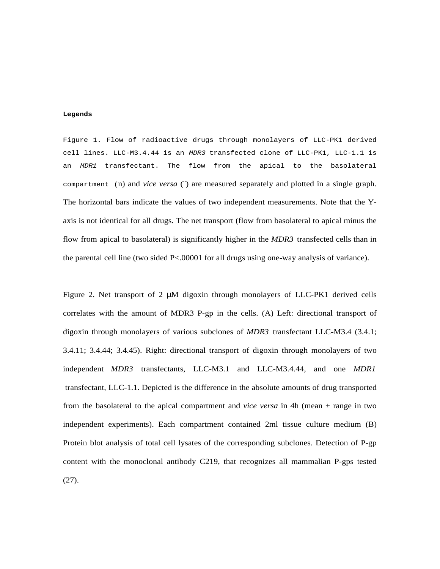#### **Legends**

Figure 1. Flow of radioactive drugs through monolayers of LLC-PK1 derived cell lines. LLC-M3.4.44 is an MDR3 transfected clone of LLC-PK1, LLC-1.1 is an MDR1 transfectant. The flow from the apical to the basolateral compartment (n) and *vice versa* (¨) are measured separately and plotted in a single graph. The horizontal bars indicate the values of two independent measurements. Note that the Yaxis is not identical for all drugs. The net transport (flow from basolateral to apical minus the flow from apical to basolateral) is significantly higher in the *MDR3* transfected cells than in the parental cell line (two sided P<.00001 for all drugs using one-way analysis of variance).

Figure 2. Net transport of 2 µM digoxin through monolayers of LLC-PK1 derived cells correlates with the amount of MDR3 P-gp in the cells. (A) Left: directional transport of digoxin through monolayers of various subclones of *MDR3* transfectant LLC-M3.4 (3.4.1; 3.4.11; 3.4.44; 3.4.45). Right: directional transport of digoxin through monolayers of two independent *MDR3* transfectants, LLC-M3.1 and LLC-M3.4.44, and one *MDR1* transfectant, LLC-1.1. Depicted is the difference in the absolute amounts of drug transported from the basolateral to the apical compartment and *vice versa* in 4h (mean  $\pm$  range in two independent experiments). Each compartment contained 2ml tissue culture medium (B) Protein blot analysis of total cell lysates of the corresponding subclones. Detection of P-gp content with the monoclonal antibody C219, that recognizes all mammalian P-gps tested (27).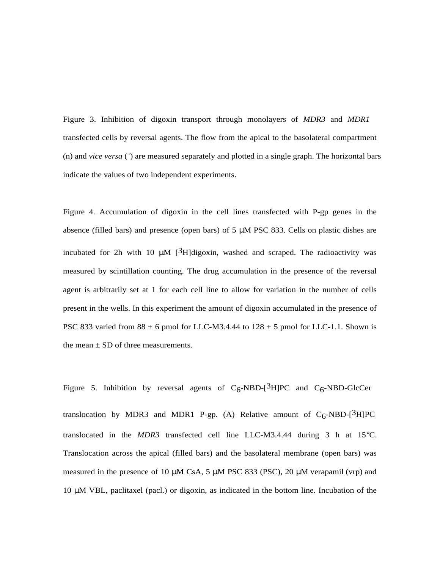Figure 3. Inhibition of digoxin transport through monolayers of *MDR3* and *MDR1* transfected cells by reversal agents. The flow from the apical to the basolateral compartment (n) and *vice versa* (¨) are measured separately and plotted in a single graph. The horizontal bars indicate the values of two independent experiments.

Figure 4. Accumulation of digoxin in the cell lines transfected with P-gp genes in the absence (filled bars) and presence (open bars) of  $5 \mu M$  PSC 833. Cells on plastic dishes are incubated for 2h with 10  $\mu$ M [<sup>3</sup>H]digoxin, washed and scraped. The radioactivity was measured by scintillation counting. The drug accumulation in the presence of the reversal agent is arbitrarily set at 1 for each cell line to allow for variation in the number of cells present in the wells. In this experiment the amount of digoxin accumulated in the presence of PSC 833 varied from  $88 \pm 6$  pmol for LLC-M3.4.44 to  $128 \pm 5$  pmol for LLC-1.1. Shown is the mean  $\pm$  SD of three measurements.

Figure 5. Inhibition by reversal agents of  $C_6$ -NBD- $[3H]$ PC and  $C_6$ -NBD-GlcCer translocation by MDR3 and MDR1 P-gp. (A) Relative amount of  $C_6$ -NBD-[<sup>3</sup>H]PC translocated in the *MDR3* transfected cell line LLC-M3.4.44 during 3 h at 15°C. Translocation across the apical (filled bars) and the basolateral membrane (open bars) was measured in the presence of 10  $\mu$ M CsA, 5  $\mu$ M PSC 833 (PSC), 20  $\mu$ M verapamil (vrp) and 10 µM VBL, paclitaxel (pacl.) or digoxin, as indicated in the bottom line. Incubation of the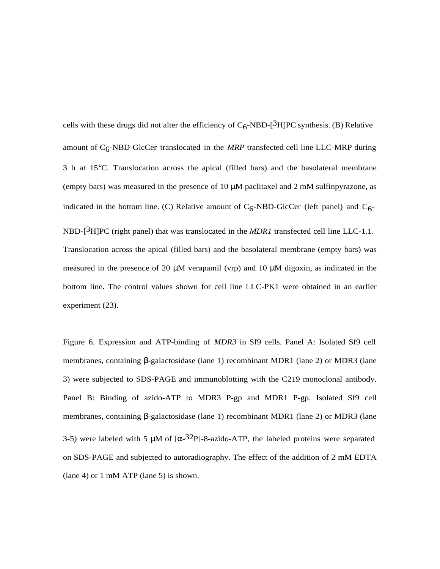cells with these drugs did not alter the efficiency of  $C_6$ -NBD-[<sup>3</sup>H]PC synthesis. (B) Relative amount of C6-NBD-GlcCer translocated in the *MRP* transfected cell line LLC-MRP during 3 h at 15°C. Translocation across the apical (filled bars) and the basolateral membrane (empty bars) was measured in the presence of  $10 \mu M$  paclitaxel and  $2 \mu M$  sulfinpyrazone, as indicated in the bottom line. (C) Relative amount of  $C_6$ -NBD-GlcCer (left panel) and  $C_6$ -NBD-[<sup>3</sup>H]PC (right panel) that was translocated in the *MDR1* transfected cell line LLC-1.1. Translocation across the apical (filled bars) and the basolateral membrane (empty bars) was measured in the presence of 20  $\mu$ M verapamil (vrp) and 10  $\mu$ M digoxin, as indicated in the bottom line. The control values shown for cell line LLC-PK1 were obtained in an earlier experiment (23).

Figure 6. Expression and ATP-binding of *MDR3* in Sf9 cells. Panel A: Isolated Sf9 cell membranes, containing β-galactosidase (lane 1) recombinant MDR1 (lane 2) or MDR3 (lane 3) were subjected to SDS-PAGE and immunoblotting with the C219 monoclonal antibody. Panel B: Binding of azido-ATP to MDR3 P-gp and MDR1 P-gp. Isolated Sf9 cell membranes, containing β-galactosidase (lane 1) recombinant MDR1 (lane 2) or MDR3 (lane 3-5) were labeled with 5  $\mu$ M of [ $\alpha$ -32P]-8-azido-ATP, the labeled proteins were separated on SDS-PAGE and subjected to autoradiography. The effect of the addition of 2 mM EDTA (lane 4) or 1 mM ATP (lane 5) is shown.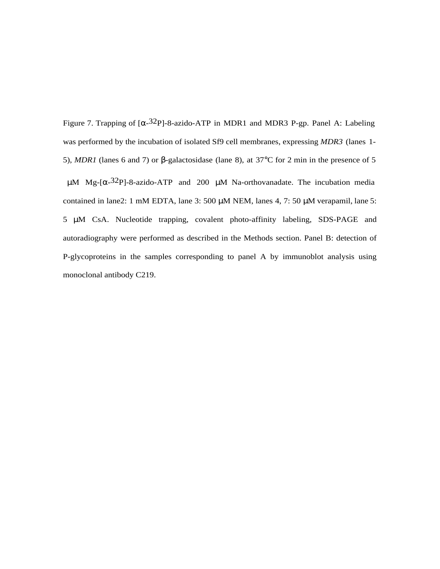Figure 7. Trapping of  $\left[\alpha^{-32}P\right]$ -8-azido-ATP in MDR1 and MDR3 P-gp. Panel A: Labeling was performed by the incubation of isolated Sf9 cell membranes, expressing *MDR3* (lanes 1- 5), *MDR1* (lanes 6 and 7) or β-galactosidase (lane 8), at 37°C for 2 min in the presence of 5  $\mu$ M Mg-[ $\alpha$ -32P]-8-azido-ATP and 200  $\mu$ M Na-orthovanadate. The incubation media contained in lane2: 1 mM EDTA, lane 3: 500 µM NEM, lanes 4, 7: 50 µM verapamil, lane 5: 5 µM CsA. Nucleotide trapping, covalent photo-affinity labeling, SDS-PAGE and autoradiography were performed as described in the Methods section. Panel B: detection of P-glycoproteins in the samples corresponding to panel A by immunoblot analysis using monoclonal antibody C219.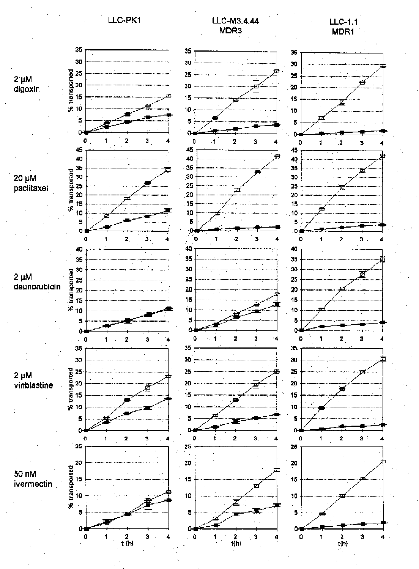LLC-PK1

LLC-M3.4.44 MDR<sub>3</sub>



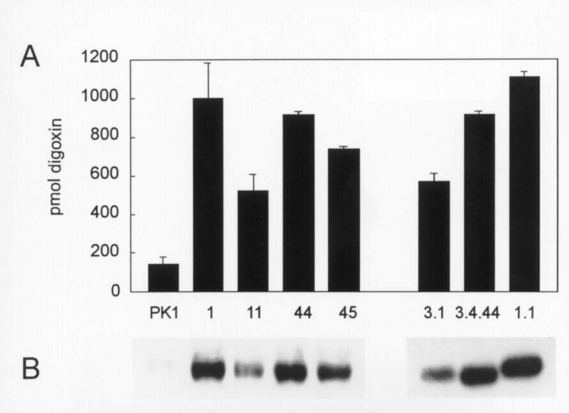



B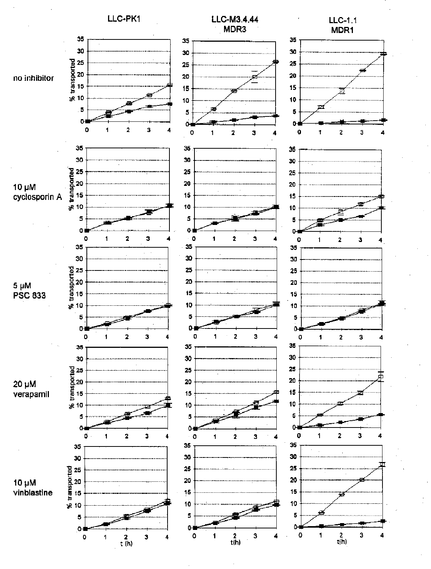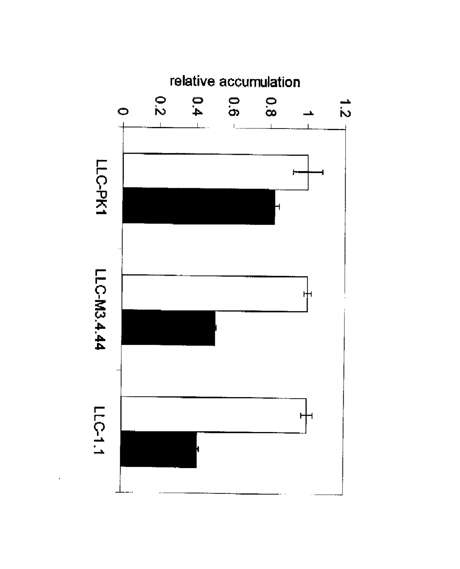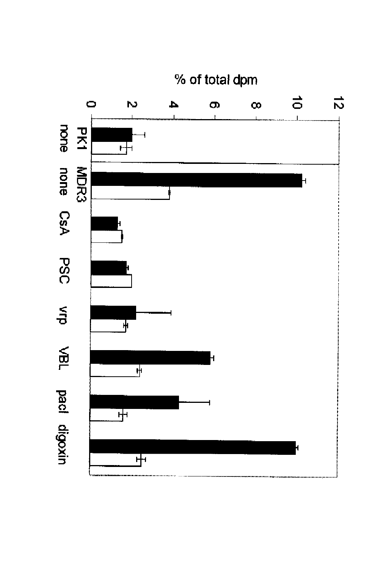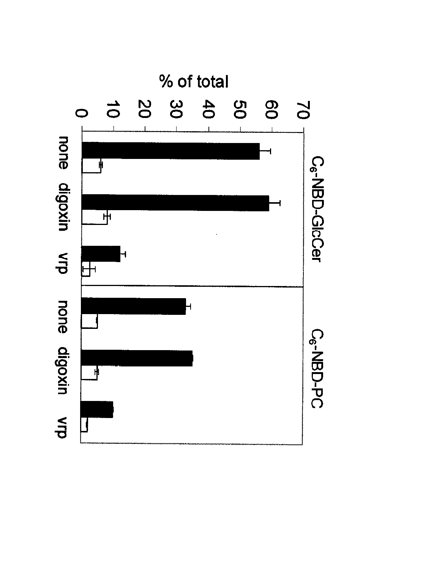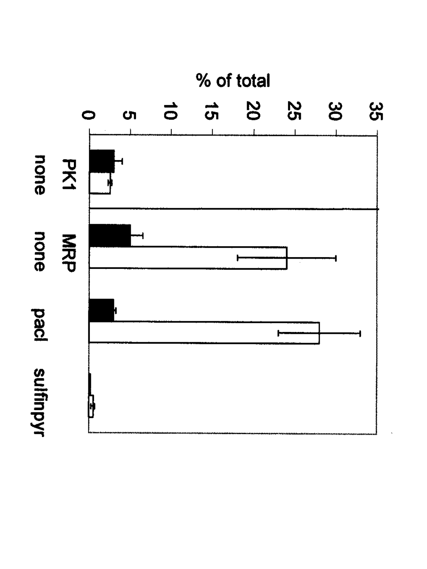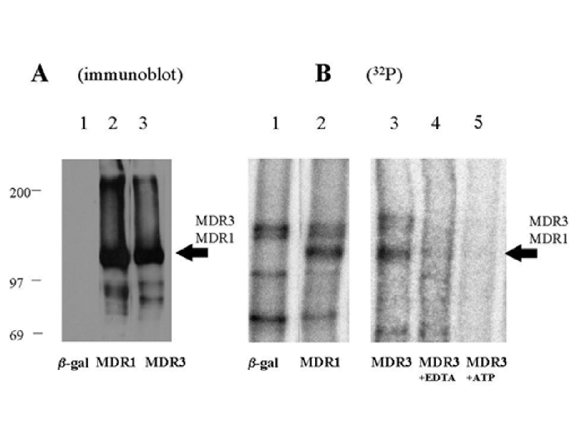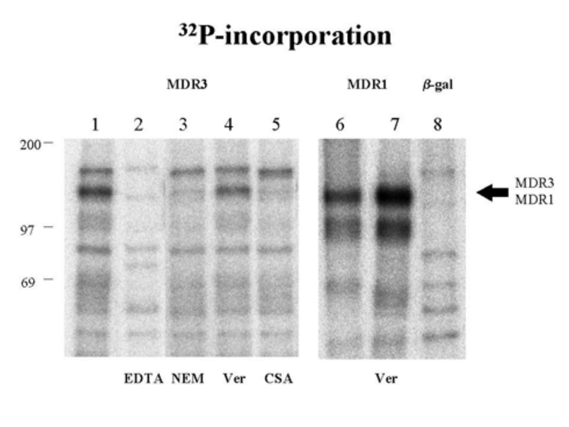# <sup>32</sup>P-incorporation



EDTA NEM Ver CSA Ver